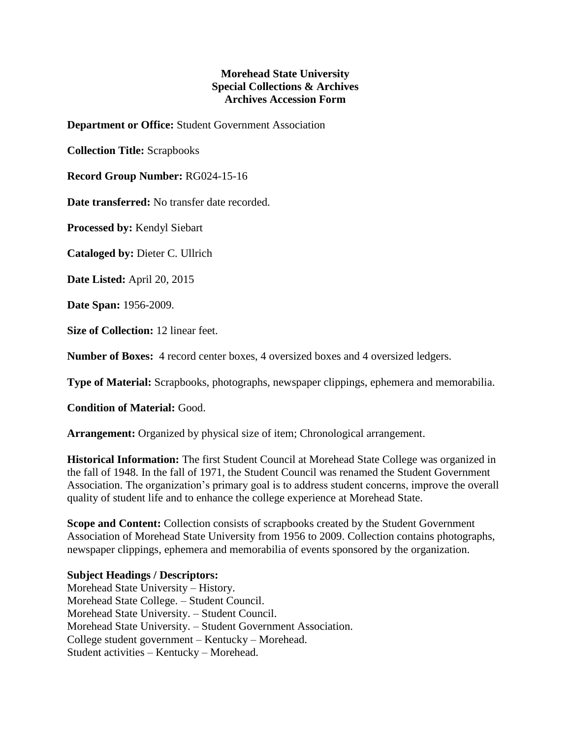## **Morehead State University Special Collections & Archives Archives Accession Form**

**Department or Office:** Student Government Association

**Collection Title:** Scrapbooks

**Record Group Number:** RG024-15-16

**Date transferred:** No transfer date recorded.

**Processed by:** Kendyl Siebart

**Cataloged by:** Dieter C. Ullrich

**Date Listed:** April 20, 2015

**Date Span:** 1956-2009.

**Size of Collection:** 12 linear feet.

**Number of Boxes:** 4 record center boxes, 4 oversized boxes and 4 oversized ledgers.

**Type of Material:** Scrapbooks, photographs, newspaper clippings, ephemera and memorabilia.

**Condition of Material:** Good.

**Arrangement:** Organized by physical size of item; Chronological arrangement.

**Historical Information:** The first Student Council at Morehead State College was organized in the fall of 1948. In the fall of 1971, the Student Council was renamed the Student Government Association. The organization's primary goal is to address student concerns, improve the overall quality of student life and to enhance the college experience at Morehead State.

**Scope and Content:** Collection consists of scrapbooks created by the Student Government Association of Morehead State University from 1956 to 2009. Collection contains photographs, newspaper clippings, ephemera and memorabilia of events sponsored by the organization.

## **Subject Headings / Descriptors:**

Morehead State University – History. Morehead State College. – Student Council. Morehead State University. – Student Council. Morehead State University. – Student Government Association. College student government – Kentucky – Morehead. Student activities – Kentucky – Morehead.